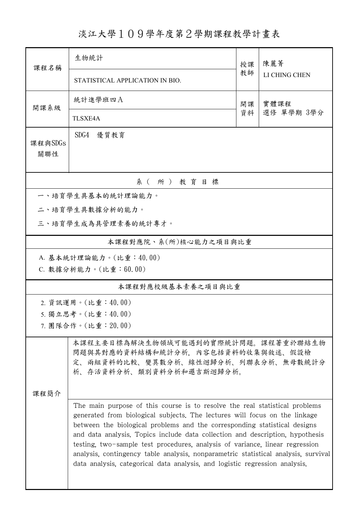## 淡江大學109學年度第2學期課程教學計畫表

| 課程名稱                  | 生物統計                                                                                                                                                                                                                                                                                                                                                                                                                                                                                                                                                                         |          | 陳麗菁           |  |  |  |  |  |  |
|-----------------------|------------------------------------------------------------------------------------------------------------------------------------------------------------------------------------------------------------------------------------------------------------------------------------------------------------------------------------------------------------------------------------------------------------------------------------------------------------------------------------------------------------------------------------------------------------------------------|----------|---------------|--|--|--|--|--|--|
|                       | STATISTICAL APPLICATION IN BIO.                                                                                                                                                                                                                                                                                                                                                                                                                                                                                                                                              | 教師       | LI CHING CHEN |  |  |  |  |  |  |
| 開課系級                  | 統計進學班四A                                                                                                                                                                                                                                                                                                                                                                                                                                                                                                                                                                      | 開課<br>資料 | 實體課程          |  |  |  |  |  |  |
|                       | <b>TLSXE4A</b>                                                                                                                                                                                                                                                                                                                                                                                                                                                                                                                                                               |          | 選修 單學期 3學分    |  |  |  |  |  |  |
| 課程與SDGs<br>關聯性        | SDG4<br>優質教育                                                                                                                                                                                                                                                                                                                                                                                                                                                                                                                                                                 |          |               |  |  |  |  |  |  |
| 系(所)教育目標              |                                                                                                                                                                                                                                                                                                                                                                                                                                                                                                                                                                              |          |               |  |  |  |  |  |  |
| 一、培育學生具基本的統計理論能力。     |                                                                                                                                                                                                                                                                                                                                                                                                                                                                                                                                                                              |          |               |  |  |  |  |  |  |
| 二、培育學生具數據分析的能力。       |                                                                                                                                                                                                                                                                                                                                                                                                                                                                                                                                                                              |          |               |  |  |  |  |  |  |
| 三、培育學生成為具管理素養的統計專才。   |                                                                                                                                                                                                                                                                                                                                                                                                                                                                                                                                                                              |          |               |  |  |  |  |  |  |
| 本課程對應院、系(所)核心能力之項目與比重 |                                                                                                                                                                                                                                                                                                                                                                                                                                                                                                                                                                              |          |               |  |  |  |  |  |  |
|                       | A. 基本統計理論能力。(比重:40.00)                                                                                                                                                                                                                                                                                                                                                                                                                                                                                                                                                       |          |               |  |  |  |  |  |  |
|                       | C. 數據分析能力。(比重:60.00)                                                                                                                                                                                                                                                                                                                                                                                                                                                                                                                                                         |          |               |  |  |  |  |  |  |
| 本課程對應校級基本素養之項目與比重     |                                                                                                                                                                                                                                                                                                                                                                                                                                                                                                                                                                              |          |               |  |  |  |  |  |  |
| 2. 資訊運用。(比重:40.00)    |                                                                                                                                                                                                                                                                                                                                                                                                                                                                                                                                                                              |          |               |  |  |  |  |  |  |
| 5. 獨立思考。(比重:40.00)    |                                                                                                                                                                                                                                                                                                                                                                                                                                                                                                                                                                              |          |               |  |  |  |  |  |  |
|                       | 7. 團隊合作。(比重:20.00)                                                                                                                                                                                                                                                                                                                                                                                                                                                                                                                                                           |          |               |  |  |  |  |  |  |
|                       | 本課程主要目標為解決生物領域可能遇到的實際統計問題。課程著重於聯結生物<br>問題與其對應的資料結構和統計分析,內容包括資料的收集與敘述、假設檢<br>定、兩組資料的比較、變異數分析、線性迴歸分析、列聯表分析、無母數統計分<br>析、存活資料分析、類別資料分析和邏吉斯迴歸分析。                                                                                                                                                                                                                                                                                                                                                                                                                                  |          |               |  |  |  |  |  |  |
| 课程简介                  |                                                                                                                                                                                                                                                                                                                                                                                                                                                                                                                                                                              |          |               |  |  |  |  |  |  |
|                       | The main purpose of this course is to resolve the real statistical problems<br>generated from biological subjects. The lectures will focus on the linkage<br>between the biological problems and the corresponding statistical designs<br>and data analysis. Topics include data collection and description, hypothesis<br>testing, two-sample test procedures, analysis of variance, linear regression<br>analysis, contingency table analysis, nonparametric statistical analysis, survival<br>data analysis, categorical data analysis, and logistic regression analysis. |          |               |  |  |  |  |  |  |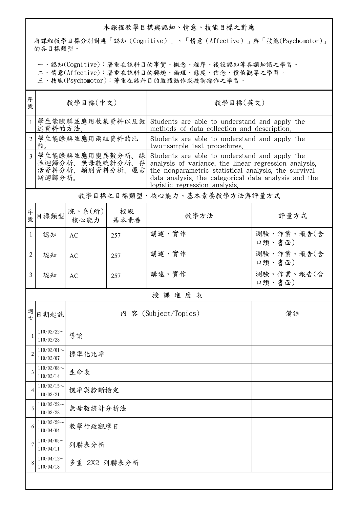## 本課程教學目標與認知、情意、技能目標之對應

將課程教學目標分別對應「認知(Cognitive)」、「情意(Affective)」與「技能(Psychomotor)」 的各目標類型。

一、認知(Cognitive):著重在該科目的事實、概念、程序、後設認知等各類知識之學習。

二、情意(Affective):著重在該科目的興趣、倫理、態度、信念、價值觀等之學習。

三、技能(Psychomotor):著重在該科目的肢體動作或技術操作之學習。

| 序<br>號         |                                                                 | 教學目標(中文)                 |            | 教學目標(英文)                                                                                                                                                                                                                                                |                      |  |  |
|----------------|-----------------------------------------------------------------|--------------------------|------------|---------------------------------------------------------------------------------------------------------------------------------------------------------------------------------------------------------------------------------------------------------|----------------------|--|--|
|                | 學生能瞭解並應用收集資料以及敘<br>述資料的方法。                                      |                          |            | Students are able to understand and apply the<br>methods of data collection and description.                                                                                                                                                            |                      |  |  |
| $\overline{2}$ | 學生能瞭解並應用兩組資料的比<br>較。                                            |                          |            | Students are able to understand and apply the<br>two-sample test procedures.                                                                                                                                                                            |                      |  |  |
| $\overline{3}$ | 學生能瞭解並應用變異數分析、線<br>性迴歸分析、無母數統計分析、存<br>活資料分析、類別資料分析、邏吉<br>斯迴歸分析。 |                          |            | Students are able to understand and apply the<br>analysis of variance, the linear regression analysis,<br>the nonparametric statistical analysis, the survival<br>data analysis, the categorical data analysis and the<br>logistic regression analysis. |                      |  |  |
|                |                                                                 |                          |            | 教學目標之目標類型、核心能力、基本素養教學方法與評量方式                                                                                                                                                                                                                            |                      |  |  |
| 序號             | 目標類型                                                            | 院、系 $(\text{m})$<br>核心能力 | 校級<br>基本素養 | 教學方法                                                                                                                                                                                                                                                    | 評量方式                 |  |  |
| 1              | 認知                                                              | AC                       | 257        | 講述、實作                                                                                                                                                                                                                                                   | 測驗、作業、報告(含<br>口頭、書面) |  |  |
| 2              | 認知                                                              | AC                       | 257        | 講述、實作                                                                                                                                                                                                                                                   | 測驗、作業、報告(含<br>口頭、書面) |  |  |
| 3              | 認知                                                              | AC                       | 257        | 講述、實作                                                                                                                                                                                                                                                   | 測驗、作業、報告(含<br>口頭、書面) |  |  |
|                |                                                                 |                          |            | 授課進度表                                                                                                                                                                                                                                                   |                      |  |  |
| 週<br>次         | 日期起訖                                                            |                          |            | 內 容 (Subject/Topics)                                                                                                                                                                                                                                    | 備註                   |  |  |
|                | $110/02/22$ ~<br>110/02/28                                      | 導論                       |            |                                                                                                                                                                                                                                                         |                      |  |  |
| $\overline{c}$ | $110/03/01$ ~<br>110/03/07                                      | 標準化比率                    |            |                                                                                                                                                                                                                                                         |                      |  |  |
| 3              | $110/03/08$ ~<br>110/03/14                                      | 生命表                      |            |                                                                                                                                                                                                                                                         |                      |  |  |
| 4              | $110/03/15$ ~<br>110/03/21                                      | 機率與診斷檢定                  |            |                                                                                                                                                                                                                                                         |                      |  |  |
| 5              | $110/03/22$ ~<br>110/03/28                                      | 無母數統計分析法                 |            |                                                                                                                                                                                                                                                         |                      |  |  |
| 6              | $110/03/29$ ~<br>110/04/04                                      | 教學行政觀摩日                  |            |                                                                                                                                                                                                                                                         |                      |  |  |
| 7              | $110/04/05$ ~<br>110/04/11                                      | 列聯表分析                    |            |                                                                                                                                                                                                                                                         |                      |  |  |
| 8              | $110/04/12$ ~<br>110/04/18                                      | 多重 2X2 列聯表分析             |            |                                                                                                                                                                                                                                                         |                      |  |  |
|                |                                                                 |                          |            |                                                                                                                                                                                                                                                         |                      |  |  |